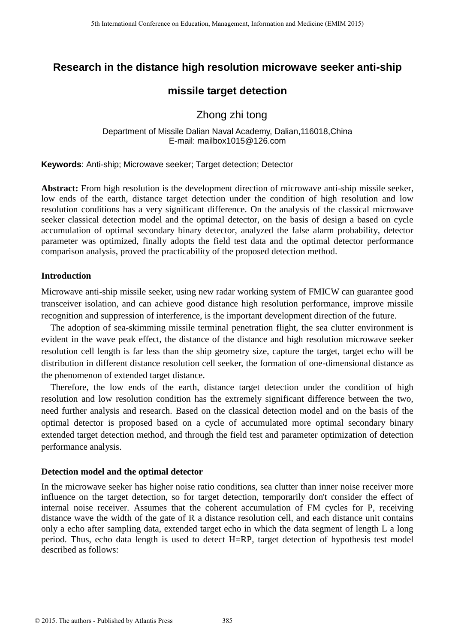# **Research in the distance high resolution microwave seeker anti-ship**

# **missile target detection**

## Zhong zhi tong

Department of Missile Dalian Naval Academy, Dalian,116018,China E-mail: mailbox1015@126.com

**Keywords**: Anti-ship; Microwave seeker; Target detection; Detector

**Abstract:** From high resolution is the development direction of microwave anti-ship missile seeker, low ends of the earth, distance target detection under the condition of high resolution and low resolution conditions has a very significant difference. On the analysis of the classical microwave seeker classical detection model and the optimal detector, on the basis of design a based on cycle accumulation of optimal secondary binary detector, analyzed the false alarm probability, detector parameter was optimized, finally adopts the field test data and the optimal detector performance comparison analysis, proved the practicability of the proposed detection method.

## **Introduction**

Microwave anti-ship missile seeker, using new radar working system of FMICW can guarantee good transceiver isolation, and can achieve good distance high resolution performance, improve missile recognition and suppression of interference, is the important development direction of the future.

The adoption of sea-skimming missile terminal penetration flight, the sea clutter environment is evident in the wave peak effect, the distance of the distance and high resolution microwave seeker resolution cell length is far less than the ship geometry size, capture the target, target echo will be distribution in different distance resolution cell seeker, the formation of one-dimensional distance as the phenomenon of extended target distance.

Therefore, the low ends of the earth, distance target detection under the condition of high resolution and low resolution condition has the extremely significant difference between the two, need further analysis and research. Based on the classical detection model and on the basis of the optimal detector is proposed based on a cycle of accumulated more optimal secondary binary extended target detection method, and through the field test and parameter optimization of detection performance analysis.

## **Detection model and the optimal detector**

In the microwave seeker has higher noise ratio conditions, sea clutter than inner noise receiver more influence on the target detection, so for target detection, temporarily don't consider the effect of internal noise receiver. Assumes that the coherent accumulation of FM cycles for P, receiving distance wave the width of the gate of R a distance resolution cell, and each distance unit contains only a echo after sampling data, extended target echo in which the data segment of length L a long period. Thus, echo data length is used to detect H=RP, target detection of hypothesis test model described as follows: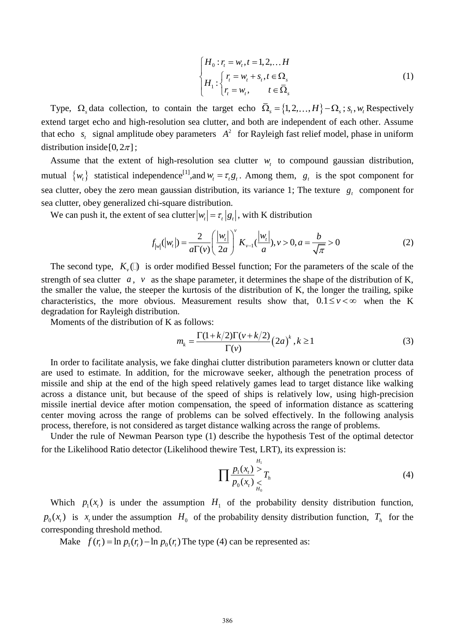$$
\begin{cases}\nH_0: r_t = w_t, t = 1, 2, \dots, H \\
H_1: \begin{cases}\nr_t = w_t + s_t, t \in \Omega_s \\
r_t = w_t, \quad t \in \overline{\Omega}_s\n\end{cases} \n\end{cases} \tag{1}
$$

Type,  $\Omega_s$  data collection, to contain the target echo  $\overline{\Omega}_s = \{1, 2, ..., H\} - \Omega_s$ ;  $s_t$ ,  $w_t$  Respectively extend target echo and high-resolution sea clutter, and both are independent of each other. Assume that echo  $s_t$  signal amplitude obey parameters  $A^2$  for Rayleigh fast relief model, phase in uniform distribution inside [0,  $2\pi$ ];

Assume that the extent of high-resolution sea clutter  $w_t$  to compound gaussian distribution, mutual  $\{w_t\}$  statistical independence<sup>[1]</sup>, and  $w_t = \tau_t g_t$ . Among them,  $g_t$  is the spot component for sea clutter, obey the zero mean gaussian distribution, its variance 1; The texture  $g_t$  component for sea clutter, obey generalized chi-square distribution.

We can push it, the extent of sea clutter  $|w_t| = \tau_t |g_t|$ , with K distribution

$$
f_{|w|}(|w_t|) = \frac{2}{a\Gamma(v)} \left(\frac{|w_t|}{2a}\right)^v K_{v-1}(\frac{|w_t|}{a}), v > 0, a = \frac{b}{\sqrt{\pi}} > 0
$$
 (2)

The second type,  $K_v$   $\Box$  is order modified Bessel function; For the parameters of the scale of the strength of sea clutter  $a$ ,  $v$  as the shape parameter, it determines the shape of the distribution of K, the smaller the value, the steeper the kurtosis of the distribution of K, the longer the trailing, spike characteristics, the more obvious. Measurement results show that,  $0.1 \le v < \infty$  when the K degradation for Rayleigh distribution.

Moments of the distribution of K as follows:

$$
m_k = \frac{\Gamma(1 + k/2)\Gamma(\nu + k/2)}{\Gamma(\nu)} (2a)^k, k \ge 1
$$
 (3)

In order to facilitate analysis, we fake dinghai clutter distribution parameters known or clutter data are used to estimate. In addition, for the microwave seeker, although the penetration process of missile and ship at the end of the high speed relatively games lead to target distance like walking across a distance unit, but because of the speed of ships is relatively low, using high-precision missile inertial device after motion compensation, the speed of information distance as scattering center moving across the range of problems can be solved effectively. In the following analysis process, therefore, is not considered as target distance walking across the range of problems.

Under the rule of Newman Pearson type (1) describe the hypothesis Test of the optimal detector for the Likelihood Ratio detector (Likelihood thewire Test, LRT), its expression is:

$$
\prod \frac{p_1(x_t)}{p_0(x_t)} \sum_{\substack{l=1 \ n_0}}^{\frac{H_1}{2}} T_h
$$
\n(4)

Which  $p_1(x)$  is under the assumption  $H_1$  of the probability density distribution function,  $p_0(x_t)$  is  $x_t$  under the assumption  $H_0$  of the probability density distribution function,  $T_h$  for the corresponding threshold method.

Make  $f(r_t) = \ln p_1(r_t) - \ln p_0(r_t)$  The type (4) can be represented as: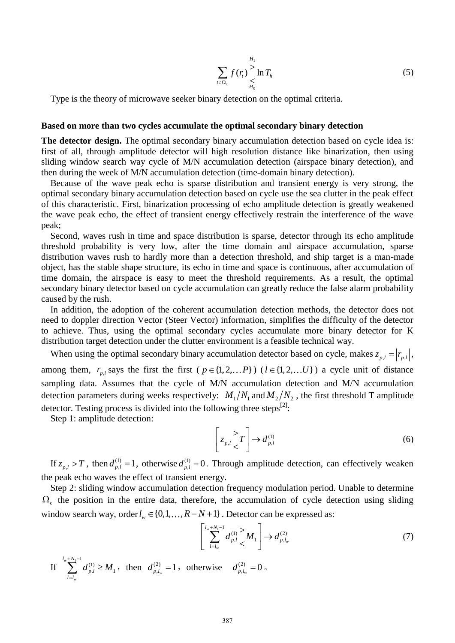$$
\sum_{\epsilon \in \Omega_s} f(r_\epsilon) \sum_{\substack{\epsilon \\ H_0}}^{\frac{H_1}{2}} \ln T_h \tag{5}
$$

Type is the theory of microwave seeker binary detection on the optimal criteria.

#### **Based on more than two cycles accumulate the optimal secondary binary detection**

*t*

**The detector design.** The optimal secondary binary accumulation detection based on cycle idea is: first of all, through amplitude detector will high resolution distance like binarization, then using sliding window search way cycle of M/N accumulation detection (airspace binary detection), and then during the week of M/N accumulation detection (time-domain binary detection).

Because of the wave peak echo is sparse distribution and transient energy is very strong, the optimal secondary binary accumulation detection based on cycle use the sea clutter in the peak effect of this characteristic. First, binarization processing of echo amplitude detection is greatly weakened the wave peak echo, the effect of transient energy effectively restrain the interference of the wave peak;

Second, waves rush in time and space distribution is sparse, detector through its echo amplitude threshold probability is very low, after the time domain and airspace accumulation, sparse distribution waves rush to hardly more than a detection threshold, and ship target is a man-made object, has the stable shape structure, its echo in time and space is continuous, after accumulation of time domain, the airspace is easy to meet the threshold requirements. As a result, the optimal secondary binary detector based on cycle accumulation can greatly reduce the false alarm probability caused by the rush.

In addition, the adoption of the coherent accumulation detection methods, the detector does not need to doppler direction Vector (Steer Vector) information, simplifies the difficulty of the detector to achieve. Thus, using the optimal secondary cycles accumulate more binary detector for K distribution target detection under the clutter environment is a feasible technical way.

When using the optimal secondary binary accumulation detector based on cycle, makes  $z_{n,i} = |r_{n,i}|$ ,

among them,  $r_{p,l}$  says the first the first ( $p \in \{1, 2, \ldots P\}$ ) ( $l \in \{1, 2, \ldots U\}$ ) a cycle unit of distance sampling data. Assumes that the cycle of M/N accumulation detection and M/N accumulation detection parameters during weeks respectively:  $M_1/N_1$  and  $M_2/N_2$ , the first threshold T amplitude detector. Testing process is divided into the following three steps $^{[2]}$ :

Step 1: amplitude detection:

$$
\left[z_{p,l}\right] \to d_{p,l}^{(1)}\tag{6}
$$

If  $z_{p,l} > T$ , then  $d_{p,l}^{(1)} = 1$ , otherwise  $d_{p,l}^{(1)} = 0$ . Through amplitude detection, can effectively weaken the peak echo waves the effect of transient energy.

Step 2: sliding window accumulation detection frequency modulation period. Unable to determine  $\Omega$ <sub>s</sub> the position in the entire data, therefore, the accumulation of cycle detection using sliding window search way, order  $l_w \in \{0, 1, ..., R - N + 1\}$ . Detector can be expressed as:

$$
\left[ \sum_{l=l_{w}}^{l_{w}+N_{1}-1} d_{p,l}^{(1)} \right] \to d_{p,l_{w}}^{(2)} \tag{7}
$$

If 
$$
\sum_{l=l_w}^{l_w+N_1-1} d_{p,l}^{(1)} \ge M_1
$$
, then  $d_{p,l_w}^{(2)} = 1$ , otherwise  $d_{p,l_w}^{(2)} = 0$ .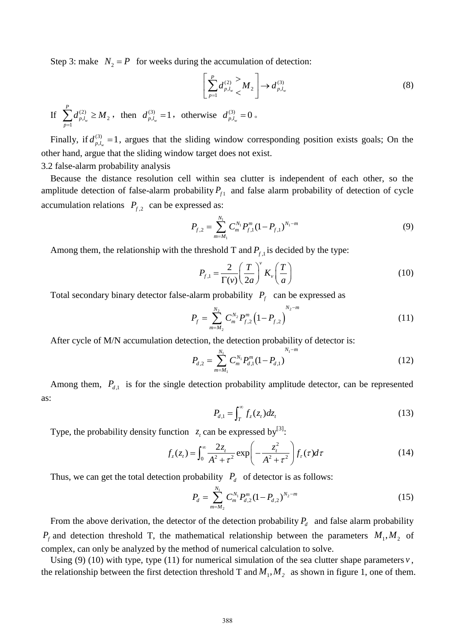Step 3: make  $N_2 = P$  for weeks during the accumulation of detection:

$$
\left[\sum_{p=1}^{P} d_{p,l_w}^{(2)} \right]^2 \to d_{p,l_w}^{(3)} \tag{8}
$$

If  $\sum d_{p,l_w}^{(2)} \geq M_2$  $\frac{1}{1}$   $P, \mu_w$ *P p l p*  $d_{n,l}^{(2)} \geq M$  $\sum_{p=1} d_{p,l_w}^{(2)} \ge M_2$ , then  $d_{p,l_w}^{(3)} = 1$ , otherwise  $d_{p,l_w}^{(3)} = 0$ .

Finally, if  $d_{p,l_w}^{(3)} = 1$ , argues that the sliding window corresponding position exists goals; On the other hand, argue that the sliding window target does not exist.

3.2 false-alarm probability analysis

Because the distance resolution cell within sea clutter is independent of each other, so the amplitude detection of false-alarm probability  $P_{f_1}$  and false alarm probability of detection of cycle accumulation relations  $P_{f,2}$  can be expressed as:

$$
P_{f,2} = \sum_{m=M_1}^{N_1} C_m^{N_1} P_{f,1}^m (1 - P_{f,1})^{N_1 - m}
$$
\n(9)

Among them, the relationship with the threshold T and  $P_{f,1}$  is decided by the type:

$$
P_{f,1} = \frac{2}{\Gamma(\nu)} \left(\frac{T}{2a}\right)^{\nu} K_{\nu} \left(\frac{T}{a}\right)
$$
 (10)

Total secondary binary detector false-alarm probability  $P_f$  can be expressed as

$$
P_f = \sum_{m=M_2}^{N_2} C_m^{N_2} P_{f,2}^m \left( 1 - P_{f,2} \right)^{N_2 - m} \tag{11}
$$

After cycle of M/N accumulation detection, the detection probability of detector is:

$$
P_{d,2} = \sum_{m=M_1}^{N_1} C_m^{N_1} P_{d,1}^m (1 - P_{d,1})^{N_1 - m}
$$
 (12)

Among them,  $P_{d,1}$  is for the single detection probability amplitude detector, can be represented as:

$$
P_{d,1} = \int_T^{\infty} f_z(z_t) dz_t
$$
 (13)

Type, the probability density function  $z_t$  can be expressed by<sup>[3]</sup>:

$$
f_z(z_t) = \int_0^\infty \frac{2z_t}{A^2 + \tau^2} \exp\left(-\frac{z_t^2}{A^2 + \tau^2}\right) f_\tau(\tau) d\tau
$$
 (14)

Thus, we can get the total detection probability  $P_d$  of detector is as follows:

$$
P_d = \sum_{m=M_2}^{N_1} C_m^{N_1} P_{d,2}^m (1 - P_{d,2})^{N_2 - m}
$$
 (15)

From the above derivation, the detector of the detection probability  $P_d$  and false alarm probability  $P_f$  and detection threshold T, the mathematical relationship between the parameters  $M_1, M_2$  of complex, can only be analyzed by the method of numerical calculation to solve.

Using  $(9)$  (10) with type, type (11) for numerical simulation of the sea clutter shape parameters  $v$ , the relationship between the first detection threshold T and  $M_1, M_2$  as shown in figure 1, one of them.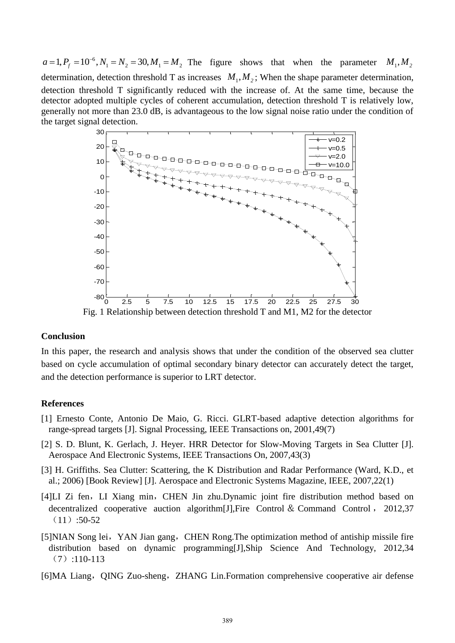$a=1, P_f = 10^{-6}, N_1 = N_2 = 30, M_1 = M_2$  The figure shows that when the parameter  $M_1, M_2$ determination, detection threshold T as increases  $M_1, M_2$ ; When the shape parameter determination, detection threshold T significantly reduced with the increase of. At the same time, because the detector adopted multiple cycles of coherent accumulation, detection threshold T is relatively low, generally not more than 23.0 dB, is advantageous to the low signal noise ratio under the condition of the target signal detection.



### **Conclusion**

In this paper, the research and analysis shows that under the condition of the observed sea clutter based on cycle accumulation of optimal secondary binary detector can accurately detect the target, and the detection performance is superior to LRT detector.

### **References**

- [1] Ernesto Conte, Antonio De Maio, G. Ricci. GLRT-based adaptive detection algorithms for range-spread targets [J]. Signal Processing, IEEE Transactions on, 2001,49(7)
- [2] S. D. Blunt, K. Gerlach, J. Heyer. HRR Detector for Slow-Moving Targets in Sea Clutter [J]. Aerospace And Electronic Systems, IEEE Transactions On, 2007,43(3)
- [3] H. Griffiths. Sea Clutter: Scattering, the K Distribution and Radar Performance (Ward, K.D., et al.; 2006) [Book Review] [J]. Aerospace and Electronic Systems Magazine, IEEE, 2007,22(1)
- [4]LI Zi fen, LI Xiang min, CHEN Jin zhu.Dynamic joint fire distribution method based on decentralized cooperative auction algorithm[J],Fire Control & Command Control , 2012,37  $(11):50-52$
- [5]NIAN Song lei, YAN Jian gang, CHEN Rong. The optimization method of antiship missile fire distribution based on dynamic programming[J],Ship Science And Technology, 2012,34  $(7)$ :110-113
- [6]MA Liang, QING Zuo-sheng, ZHANG Lin.Formation comprehensive cooperative air defense